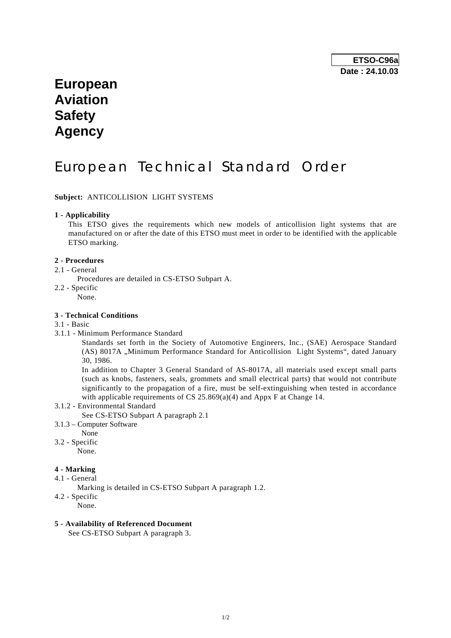# **European Aviation Safety Agency**

# European Technical Standard Order

# **Subject:** ANTICOLLISION LIGHT SYSTEMS

### **1 - Applicability**

 This ETSO gives the requirements which new models of anticollision light systems that are manufactured on or after the date of this ETSO must meet in order to be identified with the applicable ETSO marking.

#### **2 - Procedures**

- 2.1 General
	- Procedures are detailed in CS-ETSO Subpart A.
- 2.2 Specific
	- None.

### **3 - Technical Conditions**

- 3.1 Basic
- 3.1.1 Minimum Performance Standard

 Standards set forth in the Society of Automotive Engineers, Inc., (SAE) Aerospace Standard (AS) 8017A "Minimum Performance Standard for Anticollision Light Systems", dated January 30, 1986.

 In addition to Chapter 3 General Standard of AS-8017A, all materials used except small parts (such as knobs, fasteners, seals, grommets and small electrical parts) that would not contribute significantly to the propagation of a fire, must be self-extinguishing when tested in accordance with applicable requirements of CS  $25.869(a)(4)$  and Appx F at Change 14.

- 3.1.2 Environmental Standard
	- See CS-ETSO Subpart A paragraph 2.1
- 3.1.3 Computer Software
- None
- 3.2 Specific
	- None.

# **4 - Marking**

- 4.1 General
	- Marking is detailed in CS-ETSO Subpart A paragraph 1.2.
- 4.2 Specific
	- None.

# **5 - Availability of Referenced Document**

See CS-ETSO Subpart A paragraph 3.